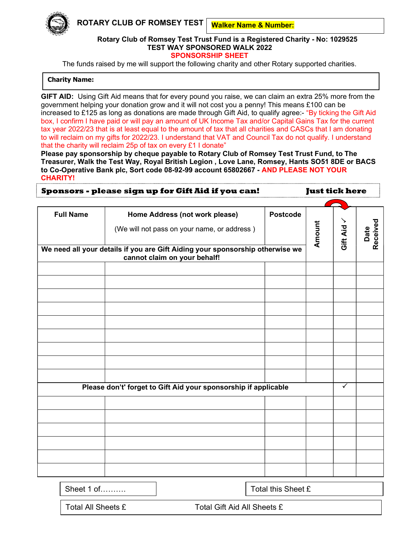ROTARY CLUB OF ROMSEY TEST

Walker Name & Number:

## Rotary Club of Romsey Test Trust Fund is a Registered Charity - No: 1029525 TEST WAY SPONSORED WALK 2022 SPONSORSHIP SHEET

The funds raised by me will support the following charity and other Rotary supported charities.

## Charity Name:

GIFT AID: Using Gift Aid means that for every pound you raise, we can claim an extra 25% more from the government helping your donation grow and it will not cost you a penny! This means £100 can be increased to £125 as long as donations are made through Gift Aid, to qualify agree:- "By ticking the Gift Aid box, I confirm I have paid or will pay an amount of UK Income Tax and/or Capital Gains Tax for the current tax year 2022/23 that is at least equal to the amount of tax that all charities and CASCs that I am donating to will reclaim on my gifts for 2022/23. I understand that VAT and Council Tax do not qualify. I understand that the charity will reclaim 25p of tax on every £1 I donate"

Please pay sponsorship by cheque payable to Rotary Club of Romsey Test Trust Fund, to The Treasurer, Walk the Test Way, Royal British Legion , Love Lane, Romsey, Hants SO51 8DE or BACS to Co-Operative Bank plc, Sort code 08-92-99 account 65802667 - AND PLEASE NOT YOUR CHARITY!

|                  | Sponsors - please sign up for Gift Aid if you can!                                                            |                 | <b>Just tick here</b> |          |                  |
|------------------|---------------------------------------------------------------------------------------------------------------|-----------------|-----------------------|----------|------------------|
|                  |                                                                                                               |                 |                       |          |                  |
| <b>Full Name</b> | Home Address (not work please)                                                                                | <b>Postcode</b> |                       | ≻        |                  |
|                  | (We will not pass on your name, or address)                                                                   |                 | Amount                | Gift Aid | Date<br>Received |
|                  | We need all your details if you are Gift Aiding your sponsorship otherwise we<br>cannot claim on your behalf! |                 |                       |          |                  |
|                  |                                                                                                               |                 |                       |          |                  |
|                  |                                                                                                               |                 |                       |          |                  |
|                  |                                                                                                               |                 |                       |          |                  |
|                  |                                                                                                               |                 |                       |          |                  |
|                  |                                                                                                               |                 |                       |          |                  |
|                  |                                                                                                               |                 |                       |          |                  |
|                  |                                                                                                               |                 |                       |          |                  |
|                  |                                                                                                               |                 |                       |          |                  |
|                  |                                                                                                               |                 |                       |          |                  |
|                  | Please don't' forget to Gift Aid your sponsorship if applicable                                               |                 |                       | ✓        |                  |
|                  |                                                                                                               |                 |                       |          |                  |
|                  |                                                                                                               |                 |                       |          |                  |
|                  |                                                                                                               |                 |                       |          |                  |
|                  |                                                                                                               |                 |                       |          |                  |
|                  |                                                                                                               |                 |                       |          |                  |
|                  |                                                                                                               |                 |                       |          |                  |
|                  |                                                                                                               |                 |                       |          |                  |
|                  |                                                                                                               |                 |                       |          |                  |

|  | Sheet 1 of |
|--|------------|
|--|------------|

Total this Sheet £

Total All Sheets £ Total Gift Aid All Sheets £